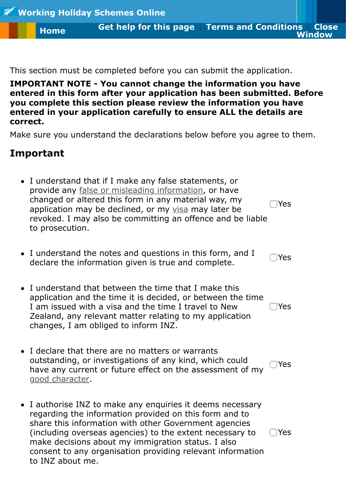**entered in this form after your application has been submitted. Before [yo](https://onlineservices.immigration.govt.nz/WORKINGHOLIDAY/default.aspx)u complete this section please review the information you have entered in your application carefully to ens[ure ALL the details are](http://formshelp.immigration.govt.nz/onlineservices/whsonline/termsofuse) correc[t.](https://onlineservices.immigration.govt.nz/WORKINGHOLIDAY/default.aspx)**

Make sure you understand the declarations below before you agree to the

## **Important**

- I understand that if I make any false statements, or provide any false or misleading information, or have changed or altered this form in any material way, my application may be declined, or my visa may later be revoked. I may also be committing an offence and be liable to prosecution. Yes
- I understand the notes and questions in this form, and I declare the information given is true and complete.
- I understan[d that between the time that I m](http://glossary.immigration.govt.nz/Falseormisleadinginformation.htm)ake this application and the time it is decide[d, or](http://glossary.immigration.govt.nz/VisaandPermit.htm) between the time I am issued with a visa and the time I travel to New Zealand, any relevant matter relating to my application changes, I am obliged to inform INZ.

Yes

Yes

- I declare that there are no matters or warrants outstanding, or investigations of any kind, which could have any current or future effect on the assessment of my good character. Yes
- I authorise INZ to make any enquiries it deems necessary regarding the information provided on this form and to share this information with other Government agencies (including overseas agencies) to the extent necessary to make decisions about my immigration status. I also consent to any organisation providing relevant information to INZ about me.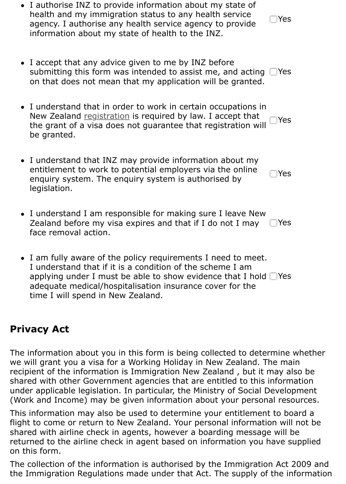• I understand that in order to work in certain occupations in New Zealand registration is required by law. I accept that the grant of a visa does not guarantee that registration will be granted. Yes

Yes

- I understand that INZ may provide information about my entitlement to work to potential employers via the online enquiry system. The enquiry system is authorised by legislation.
- I understand [I am respon](http://glossary.immigration.govt.nz/Occupationalregistration.htm)sible for making sure I leave New Zealand before my visa expires and that if I do not I may face removal action. Yes
- I am fully aware of the policy requirements I need to meet. I understand that if it is a condition of the scheme I am applying under I must be able to show evidence that I hold  $\Box$ Yes adequate medical/hospitalisation insurance cover for the time I will spend in New Zealand.

## **Privacy Act**

The information about you in this form is being collected to determine whether we will grant you a visa for a Working Holiday in New Zealand. The main recipient of the information is Immigration New Zealand, but it may also shared with other Government agencies that are entitled to this information under applicable legislation. In particular, the Ministry of Social Developm (Work and Income) may be given information about your personal resour

This information may also be used to determine your entitlement to board flight to come or return to New Zealand. Your personal information will no shared with airline check in agents, however a boarding message will be returned to the airline check in agent based on information you have sup on this form.

The collection of the information is authorised by the Immigration Act 200 the Immigration Regulations made under that Act. The supply of the information